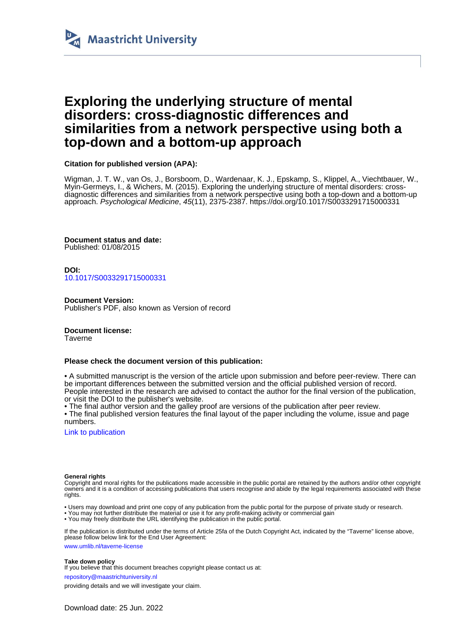

## **Exploring the underlying structure of mental disorders: cross-diagnostic differences and similarities from a network perspective using both a top-down and a bottom-up approach**

## **Citation for published version (APA):**

Wigman, J. T. W., van Os, J., Borsboom, D., Wardenaar, K. J., Epskamp, S., Klippel, A., Viechtbauer, W., Myin-Germeys, I., & Wichers, M. (2015). Exploring the underlying structure of mental disorders: crossdiagnostic differences and similarities from a network perspective using both a top-down and a bottom-up approach. Psychological Medicine, 45(11), 2375-2387. <https://doi.org/10.1017/S0033291715000331>

**Document status and date:** Published: 01/08/2015

**DOI:** [10.1017/S0033291715000331](https://doi.org/10.1017/S0033291715000331)

**Document Version:** Publisher's PDF, also known as Version of record

**Document license: Taverne** 

## **Please check the document version of this publication:**

• A submitted manuscript is the version of the article upon submission and before peer-review. There can be important differences between the submitted version and the official published version of record. People interested in the research are advised to contact the author for the final version of the publication, or visit the DOI to the publisher's website.

• The final author version and the galley proof are versions of the publication after peer review. • The final published version features the final layout of the paper including the volume, issue and page

numbers.

[Link to publication](https://cris.maastrichtuniversity.nl/en/publications/1688d51a-7084-4389-a4d3-b6e18db72217)

#### **General rights**

Copyright and moral rights for the publications made accessible in the public portal are retained by the authors and/or other copyright owners and it is a condition of accessing publications that users recognise and abide by the legal requirements associated with these rights.

• Users may download and print one copy of any publication from the public portal for the purpose of private study or research.

• You may not further distribute the material or use it for any profit-making activity or commercial gain

• You may freely distribute the URL identifying the publication in the public portal.

If the publication is distributed under the terms of Article 25fa of the Dutch Copyright Act, indicated by the "Taverne" license above, please follow below link for the End User Agreement:

www.umlib.nl/taverne-license

## **Take down policy**

If you believe that this document breaches copyright please contact us at:

repository@maastrichtuniversity.nl

providing details and we will investigate your claim.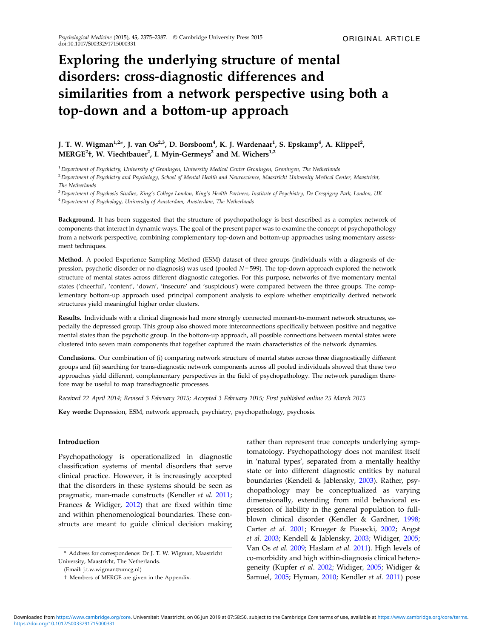# Exploring the underlying structure of mental disorders: cross-diagnostic differences and similarities from a network perspective using both a top-down and a bottom-up approach

## J. T. W. Wigman<sup>1,2</sup>\*, J. van Os<sup>2,3</sup>, D. Borsboom<sup>4</sup>, K. J. Wardenaar<sup>1</sup>, S. Epskamp<sup>4</sup>, A. Klippel<sup>2</sup>,  $\rm MERGE^2$ t, W. Viechtbauer $^2$ , I. Myin-Germeys $^2$  and M. Wichers $^{1,2}$

<sup>1</sup> Department of Psychiatry, University of Groningen, University Medical Center Groningen, Groningen, The Netherlands

 $2$  Department of Psychiatry and Psychology, School of Mental Health and Neuroscience, Maastricht University Medical Center, Maastricht, The Netherlands

<sup>3</sup>Department of Psychosis Studies, King's College London, King's Health Partners, Institute of Psychiatry, De Crespigny Park, London, UK <sup>4</sup> Department of Psychology, University of Amsterdam, Amsterdam, The Netherlands

Background. It has been suggested that the structure of psychopathology is best described as a complex network of components that interact in dynamic ways. The goal of the present paper was to examine the concept of psychopathology from a network perspective, combining complementary top-down and bottom-up approaches using momentary assessment techniques.

Method. A pooled Experience Sampling Method (ESM) dataset of three groups (individuals with a diagnosis of depression, psychotic disorder or no diagnosis) was used (pooled  $N = 599$ ). The top-down approach explored the network structure of mental states across different diagnostic categories. For this purpose, networks of five momentary mental states ('cheerful', 'content', 'down', 'insecure' and 'suspicious') were compared between the three groups. The complementary bottom-up approach used principal component analysis to explore whether empirically derived network structures yield meaningful higher order clusters.

Results. Individuals with a clinical diagnosis had more strongly connected moment-to-moment network structures, especially the depressed group. This group also showed more interconnections specifically between positive and negative mental states than the psychotic group. In the bottom-up approach, all possible connections between mental states were clustered into seven main components that together captured the main characteristics of the network dynamics.

Conclusions. Our combination of (i) comparing network structure of mental states across three diagnostically different groups and (ii) searching for trans-diagnostic network components across all pooled individuals showed that these two approaches yield different, complementary perspectives in the field of psychopathology. The network paradigm therefore may be useful to map transdiagnostic processes.

Received 22 April 2014; Revised 3 February 2015; Accepted 3 February 2015; First published online 25 March 2015

Key words: Depression, ESM, network approach, psychiatry, psychopathology, psychosis.

## Introduction

Psychopathology is operationalized in diagnostic classification systems of mental disorders that serve clinical practice. However, it is increasingly accepted that the disorders in these systems should be seen as pragmatic, man-made constructs (Kendler et al. [2011](#page-12-0); Frances & Widiger, [2012](#page-12-0)) that are fixed within time and within phenomenological boundaries. These constructs are meant to guide clinical decision making

rather than represent true concepts underlying symptomatology. Psychopathology does not manifest itself in 'natural types', separated from a mentally healthy state or into different diagnostic entities by natural boundaries (Kendell & Jablensky, [2003\)](#page-12-0). Rather, psychopathology may be conceptualized as varying dimensionally, extending from mild behavioral expression of liability in the general population to fullblown clinical disorder (Kendler & Gardner, [1998](#page-12-0); Carter et al. [2001](#page-12-0); Krueger & Piasecki, [2002;](#page-13-0) Angst et al. [2003;](#page-12-0) Kendell & Jablensky, [2003;](#page-12-0) Widiger, [2005](#page-13-0); Van Os et al. [2009](#page-13-0); Haslam et al. [2011\)](#page-12-0). High levels of co-morbidity and high within-diagnosis clinical heterogeneity (Kupfer et al. [2002](#page-13-0); Widiger, [2005](#page-13-0); Widiger & Samuel, [2005](#page-13-0); Hyman, [2010](#page-12-0); Kendler et al. [2011](#page-12-0)) pose

<sup>\*</sup> Address for correspondence: Dr J. T. W. Wigman, Maastricht University, Maastricht, The Netherlands.

<sup>(</sup>Email: j.t.w.wigman@umcg.nl)

<sup>†</sup> Members of MERGE are given in the Appendix.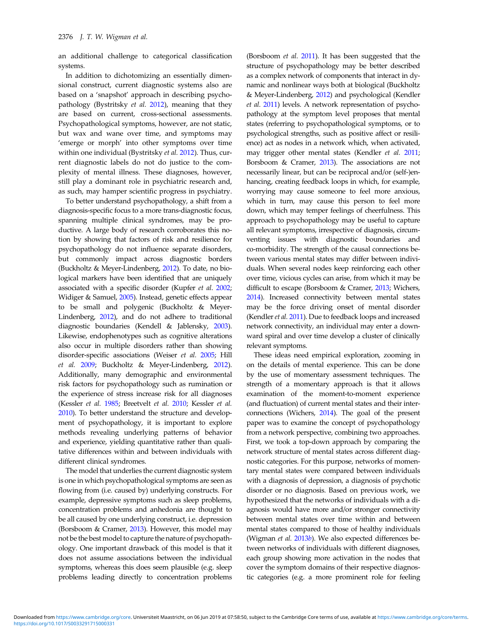an additional challenge to categorical classification systems.

In addition to dichotomizing an essentially dimensional construct, current diagnostic systems also are based on a 'snapshot' approach in describing psychopathology (Bystritsky et al. [2012](#page-12-0)), meaning that they are based on current, cross-sectional assessments. Psychopathological symptoms, however, are not static, but wax and wane over time, and symptoms may 'emerge or morph' into other symptoms over time within one individual (Bystritsky et al. [2012\)](#page-12-0). Thus, current diagnostic labels do not do justice to the complexity of mental illness. These diagnoses, however, still play a dominant role in psychiatric research and, as such, may hamper scientific progress in psychiatry.

To better understand psychopathology, a shift from a diagnosis-specific focus to a more trans-diagnostic focus, spanning multiple clinical syndromes, may be productive. A large body of research corroborates this notion by showing that factors of risk and resilience for psychopathology do not influence separate disorders, but commonly impact across diagnostic borders (Buckholtz & Meyer-Lindenberg, [2012\)](#page-12-0). To date, no biological markers have been identified that are uniquely associated with a specific disorder (Kupfer et al. [2002](#page-13-0); Widiger & Samuel, [2005\)](#page-13-0). Instead, genetic effects appear to be small and polygenic (Buckholtz & Meyer-Lindenberg, [2012\)](#page-12-0), and do not adhere to traditional diagnostic boundaries (Kendell & Jablensky, [2003\)](#page-12-0). Likewise, endophenotypes such as cognitive alterations also occur in multiple disorders rather than showing disorder-specific associations (Weiser et al. [2005;](#page-13-0) Hill et al. [2009](#page-12-0); Buckholtz & Meyer-Lindenberg, [2012\)](#page-12-0). Additionally, many demographic and environmental risk factors for psychopathology such as rumination or the experience of stress increase risk for all diagnoses (Kessler et al. [1985](#page-12-0); Breetvelt et al. [2010;](#page-12-0) Kessler et al. [2010](#page-12-0)). To better understand the structure and development of psychopathology, it is important to explore methods revealing underlying patterns of behavior and experience, yielding quantitative rather than qualitative differences within and between individuals with different clinical syndromes.

The model that underlies the current diagnostic system is one in which psychopathological symptoms are seen as flowing from (i.e. caused by) underlying constructs. For example, depressive symptoms such as sleep problems, concentration problems and anhedonia are thought to be all caused by one underlying construct, i.e. depression (Borsboom & Cramer, [2013\)](#page-12-0). However, this model may not be the best model to capture the nature of psychopathology. One important drawback of this model is that it does not assume associations between the individual symptoms, whereas this does seem plausible (e.g. sleep problems leading directly to concentration problems

(Borsboom et al. [2011](#page-12-0)). It has been suggested that the structure of psychopathology may be better described as a complex network of components that interact in dynamic and nonlinear ways both at biological (Buckholtz & Meyer-Lindenberg, [2012\)](#page-12-0) and psychological (Kendler et al. [2011](#page-12-0)) levels. A network representation of psychopathology at the symptom level proposes that mental states (referring to psychopathological symptoms, or to psychological strengths, such as positive affect or resilience) act as nodes in a network which, when activated, may trigger other mental states (Kendler et al. [2011](#page-12-0); Borsboom & Cramer, [2013](#page-12-0)). The associations are not necessarily linear, but can be reciprocal and/or (self-)enhancing, creating feedback loops in which, for example, worrying may cause someone to feel more anxious, which in turn, may cause this person to feel more down, which may temper feelings of cheerfulness. This approach to psychopathology may be useful to capture all relevant symptoms, irrespective of diagnosis, circumventing issues with diagnostic boundaries and co-morbidity. The strength of the causal connections between various mental states may differ between individuals. When several nodes keep reinforcing each other over time, vicious cycles can arise, from which it may be difficult to escape (Borsboom & Cramer, [2013](#page-12-0); Wichers, [2014](#page-13-0)). Increased connectivity between mental states may be the force driving onset of mental disorder (Kendler et al. [2011](#page-12-0)). Due to feedback loops and increased network connectivity, an individual may enter a downward spiral and over time develop a cluster of clinically relevant symptoms.

These ideas need empirical exploration, zooming in on the details of mental experience. This can be done by the use of momentary assessment techniques. The strength of a momentary approach is that it allows examination of the moment-to-moment experience (and fluctuation) of current mental states and their interconnections (Wichers, [2014\)](#page-13-0). The goal of the present paper was to examine the concept of psychopathology from a network perspective, combining two approaches. First, we took a top-down approach by comparing the network structure of mental states across different diagnostic categories. For this purpose, networks of momentary mental states were compared between individuals with a diagnosis of depression, a diagnosis of psychotic disorder or no diagnosis. Based on previous work, we hypothesized that the networks of individuals with a diagnosis would have more and/or stronger connectivity between mental states over time within and between mental states compared to those of healthy individuals (Wigman et al. [2013](#page-13-0)b). We also expected differences between networks of individuals with different diagnoses, each group showing more activation in the nodes that cover the symptom domains of their respective diagnostic categories (e.g. a more prominent role for feeling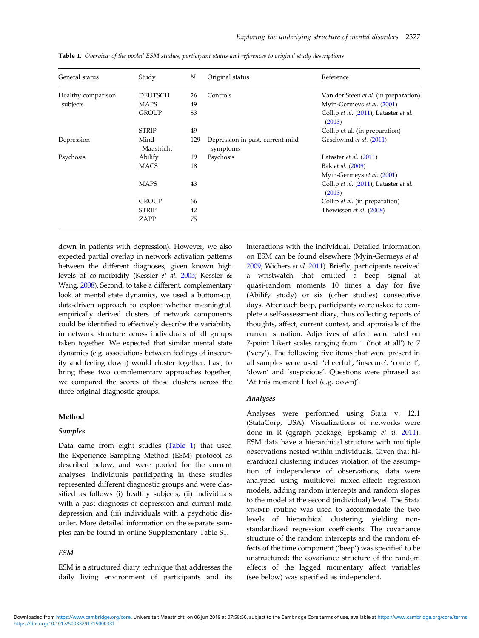| General status     | Study              | N   | Original status                              | Reference                                       |  |
|--------------------|--------------------|-----|----------------------------------------------|-------------------------------------------------|--|
| Healthy comparison | <b>DEUTSCH</b>     | 26  | Controls                                     | Van der Steen et al. (in preparation)           |  |
| subjects           | <b>MAPS</b>        | 49  |                                              | Myin-Germeys et al. (2001)                      |  |
|                    | <b>GROUP</b>       | 83  |                                              | Collip et al. (2011), Lataster et al.<br>(2013) |  |
|                    | <b>STRIP</b>       | 49  |                                              | Collip et al. (in preparation)                  |  |
| Depression         | Mind<br>Maastricht | 129 | Depression in past, current mild<br>symptoms | Geschwind et al. (2011)                         |  |
| Psychosis          | Abilify            | 19  | Psychosis                                    | Lataster et al. $(2011)$                        |  |
|                    | <b>MACS</b>        | 18  |                                              | Bak et al. (2009)<br>Myin-Germeys et al. (2001) |  |
|                    | <b>MAPS</b>        | 43  |                                              | Collip et al. (2011), Lataster et al.<br>(2013) |  |
|                    | <b>GROUP</b>       | 66  |                                              | Collip et al. (in preparation)                  |  |
|                    | <b>STRIP</b>       | 42  |                                              | Thewissen et al. (2008)                         |  |
|                    | ZAPP               | 75  |                                              |                                                 |  |

Table 1. Overview of the pooled ESM studies, participant status and references to original study descriptions

down in patients with depression). However, we also expected partial overlap in network activation patterns between the different diagnoses, given known high levels of co-morbidity (Kessler et al. [2005](#page-12-0); Kessler & Wang, [2008\)](#page-13-0). Second, to take a different, complementary look at mental state dynamics, we used a bottom-up, data-driven approach to explore whether meaningful, empirically derived clusters of network components could be identified to effectively describe the variability in network structure across individuals of all groups taken together. We expected that similar mental state dynamics (e.g. associations between feelings of insecurity and feeling down) would cluster together. Last, to bring these two complementary approaches together, we compared the scores of these clusters across the three original diagnostic groups.

## Method

#### Samples

Data came from eight studies (Table 1) that used the Experience Sampling Method (ESM) protocol as described below, and were pooled for the current analyses. Individuals participating in these studies represented different diagnostic groups and were classified as follows (i) healthy subjects, (ii) individuals with a past diagnosis of depression and current mild depression and (iii) individuals with a psychotic disorder. More detailed information on the separate samples can be found in online Supplementary Table S1.

## ESM

ESM is a structured diary technique that addresses the daily living environment of participants and its

interactions with the individual. Detailed information on ESM can be found elsewhere (Myin-Germeys et al. [2009;](#page-13-0) Wichers et al. [2011\)](#page-13-0). Briefly, participants received a wristwatch that emitted a beep signal at quasi-random moments 10 times a day for five (Abilify study) or six (other studies) consecutive days. After each beep, participants were asked to complete a self-assessment diary, thus collecting reports of thoughts, affect, current context, and appraisals of the current situation. Adjectives of affect were rated on 7-point Likert scales ranging from 1 ('not at all') to 7 ('very'). The following five items that were present in all samples were used: 'cheerful', 'insecure', 'content', 'down' and 'suspicious'. Questions were phrased as: 'At this moment I feel (e.g. down)'.

## Analyses

Analyses were performed using Stata v. 12.1 (StataCorp, USA). Visualizations of networks were done in R (qgraph package; Epskamp et al. [2011](#page-12-0)). ESM data have a hierarchical structure with multiple observations nested within individuals. Given that hierarchical clustering induces violation of the assumption of independence of observations, data were analyzed using multilevel mixed-effects regression models, adding random intercepts and random slopes to the model at the second (individual) level. The Stata XTMIXED routine was used to accommodate the two levels of hierarchical clustering, yielding nonstandardized regression coefficients. The covariance structure of the random intercepts and the random effects of the time component ('beep') was specified to be unstructured; the covariance structure of the random effects of the lagged momentary affect variables (see below) was specified as independent.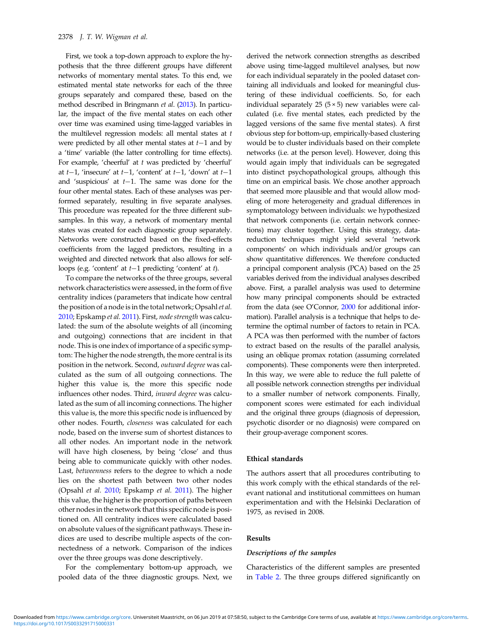First, we took a top-down approach to explore the hypothesis that the three different groups have different networks of momentary mental states. To this end, we estimated mental state networks for each of the three groups separately and compared these, based on the method described in Bringmann et al. [\(2013](#page-12-0)). In particular, the impact of the five mental states on each other over time was examined using time-lagged variables in the multilevel regression models: all mental states at t were predicted by all other mental states at t−1 and by a 'time' variable (the latter controlling for time effects). For example, 'cheerful' at t was predicted by 'cheerful' at  $t-1$ , 'insecure' at  $t-1$ , 'content' at  $t-1$ , 'down' at  $t-1$ and 'suspicious' at t−1. The same was done for the four other mental states. Each of these analyses was performed separately, resulting in five separate analyses. This procedure was repeated for the three different subsamples. In this way, a network of momentary mental states was created for each diagnostic group separately. Networks were constructed based on the fixed-effects coefficients from the lagged predictors, resulting in a weighted and directed network that also allows for selfloops (e.g. 'content' at t−1 predicting 'content' at t).

To compare the networks of the three groups, several network characteristics were assessed, in the form of five centrality indices (parameters that indicate how central the position of a node is in the total network; Opsahl et al. [2010;](#page-13-0) Epskamp et al. [2011\)](#page-12-0). First, node strength was calculated: the sum of the absolute weights of all (incoming and outgoing) connections that are incident in that node. This is one index of importance of a specific symptom: The higher the node strength, the more central is its position in the network. Second, outward degree was calculated as the sum of all outgoing connections. The higher this value is, the more this specific node influences other nodes. Third, inward degree was calculated as the sum of all incoming connections. The higher this value is, the more this specific node is influenced by other nodes. Fourth, closeness was calculated for each node, based on the inverse sum of shortest distances to all other nodes. An important node in the network will have high closeness, by being 'close' and thus being able to communicate quickly with other nodes. Last, betweenness refers to the degree to which a node lies on the shortest path between two other nodes (Opsahl et al. [2010](#page-13-0); Epskamp et al. [2011\)](#page-12-0). The higher this value, the higher is the proportion of paths between other nodes in the network that this specific node is positioned on. All centrality indices were calculated based on absolute values of the significant pathways. These indices are used to describe multiple aspects of the connectedness of a network. Comparison of the indices over the three groups was done descriptively.

For the complementary bottom-up approach, we pooled data of the three diagnostic groups. Next, we derived the network connection strengths as described above using time-lagged multilevel analyses, but now for each individual separately in the pooled dataset containing all individuals and looked for meaningful clustering of these individual coefficients. So, for each individual separately  $25(5 \times 5)$  new variables were calculated (i.e. five mental states, each predicted by the lagged versions of the same five mental states). A first obvious step for bottom-up, empirically-based clustering would be to cluster individuals based on their complete networks (i.e. at the person level). However, doing this would again imply that individuals can be segregated into distinct psychopathological groups, although this time on an empirical basis. We chose another approach that seemed more plausible and that would allow modeling of more heterogeneity and gradual differences in symptomatology between individuals: we hypothesized that network components (i.e. certain network connections) may cluster together. Using this strategy, datareduction techniques might yield several 'network components' on which individuals and/or groups can show quantitative differences. We therefore conducted a principal component analysis (PCA) based on the 25 variables derived from the individual analyses described above. First, a parallel analysis was used to determine how many principal components should be extracted from the data (see O'Connor, [2000](#page-13-0) for additional information). Parallel analysis is a technique that helps to determine the optimal number of factors to retain in PCA. A PCA was then performed with the number of factors to extract based on the results of the parallel analysis, using an oblique promax rotation (assuming correlated components). These components were then interpreted. In this way, we were able to reduce the full palette of all possible network connection strengths per individual to a smaller number of network components. Finally, component scores were estimated for each individual and the original three groups (diagnosis of depression, psychotic disorder or no diagnosis) were compared on their group-average component scores.

#### Ethical standards

The authors assert that all procedures contributing to this work comply with the ethical standards of the relevant national and institutional committees on human experimentation and with the Helsinki Declaration of 1975, as revised in 2008.

## Results

#### Descriptions of the samples

Characteristics of the different samples are presented in [Table 2](#page-5-0). The three groups differed significantly on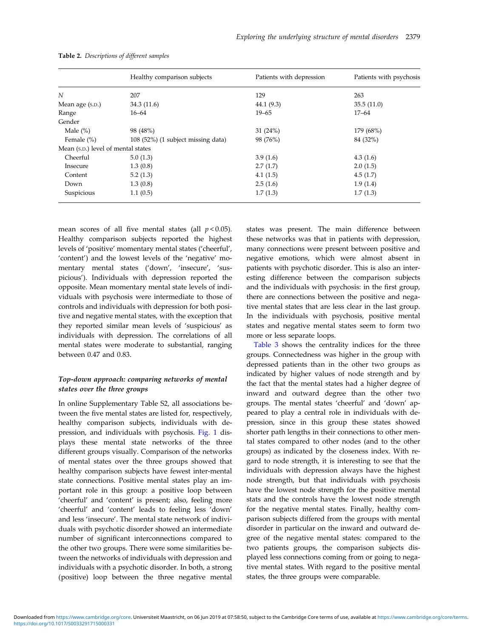|                                    | Healthy comparison subjects        | Patients with depression | Patients with psychosis |
|------------------------------------|------------------------------------|--------------------------|-------------------------|
| N                                  | 207                                | 129                      | 263                     |
| Mean age (s.p.)                    | 34.3 (11.6)                        | 44.1 (9.3)               | 35.5(11.0)              |
| Range                              | $16 - 64$                          | $19 - 65$                | $17 - 64$               |
| Gender                             |                                    |                          |                         |
| Male $(\%)$                        | 98 (48%)                           | 31(24%)                  | 179 (68%)               |
| Female $(\%)$                      | 108 (52%) (1 subject missing data) | 98 (76%)                 | 84 (32%)                |
| Mean (s.p.) level of mental states |                                    |                          |                         |
| Cheerful                           | 5.0(1.3)                           | 3.9(1.6)                 | 4.3(1.6)                |
| Insecure                           | 1.3(0.8)                           | 2.7(1.7)                 | 2.0(1.5)                |
| Content                            | 5.2(1.3)                           | 4.1(1.5)                 | 4.5(1.7)                |
| Down                               | 1.3(0.8)                           | 2.5(1.6)                 | 1.9(1.4)                |
| Suspicious                         | 1.1(0.5)                           | 1.7(1.3)                 | 1.7(1.3)                |

<span id="page-5-0"></span>

|  | Table 2. Descriptions of different samples |  |  |  |
|--|--------------------------------------------|--|--|--|
|--|--------------------------------------------|--|--|--|

mean scores of all five mental states (all  $p < 0.05$ ). Healthy comparison subjects reported the highest levels of 'positive' momentary mental states ('cheerful', 'content') and the lowest levels of the 'negative' momentary mental states ('down', 'insecure', 'suspicious'). Individuals with depression reported the opposite. Mean momentary mental state levels of individuals with psychosis were intermediate to those of controls and individuals with depression for both positive and negative mental states, with the exception that they reported similar mean levels of 'suspicious' as individuals with depression. The correlations of all mental states were moderate to substantial, ranging between 0.47 and 0.83.

## Top-down approach: comparing networks of mental states over the three groups

In online Supplementary Table S2, all associations between the five mental states are listed for, respectively, healthy comparison subjects, individuals with depression, and individuals with psychosis. [Fig. 1](#page-6-0) displays these mental state networks of the three different groups visually. Comparison of the networks of mental states over the three groups showed that healthy comparison subjects have fewest inter-mental state connections. Positive mental states play an important role in this group: a positive loop between 'cheerful' and 'content' is present; also, feeling more 'cheerful' and 'content' leads to feeling less 'down' and less 'insecure'. The mental state network of individuals with psychotic disorder showed an intermediate number of significant interconnections compared to the other two groups. There were some similarities between the networks of individuals with depression and individuals with a psychotic disorder. In both, a strong (positive) loop between the three negative mental

states was present. The main difference between these networks was that in patients with depression, many connections were present between positive and negative emotions, which were almost absent in patients with psychotic disorder. This is also an interesting difference between the comparison subjects and the individuals with psychosis: in the first group, there are connections between the positive and negative mental states that are less clear in the last group. In the individuals with psychosis, positive mental states and negative mental states seem to form two more or less separate loops.

[Table 3](#page-7-0) shows the centrality indices for the three groups. Connectedness was higher in the group with depressed patients than in the other two groups as indicated by higher values of node strength and by the fact that the mental states had a higher degree of inward and outward degree than the other two groups. The mental states 'cheerful' and 'down' appeared to play a central role in individuals with depression, since in this group these states showed shorter path lengths in their connections to other mental states compared to other nodes (and to the other groups) as indicated by the closeness index. With regard to node strength, it is interesting to see that the individuals with depression always have the highest node strength, but that individuals with psychosis have the lowest node strength for the positive mental stats and the controls have the lowest node strength for the negative mental states. Finally, healthy comparison subjects differed from the groups with mental disorder in particular on the inward and outward degree of the negative mental states: compared to the two patients groups, the comparison subjects displayed less connections coming from or going to negative mental states. With regard to the positive mental states, the three groups were comparable.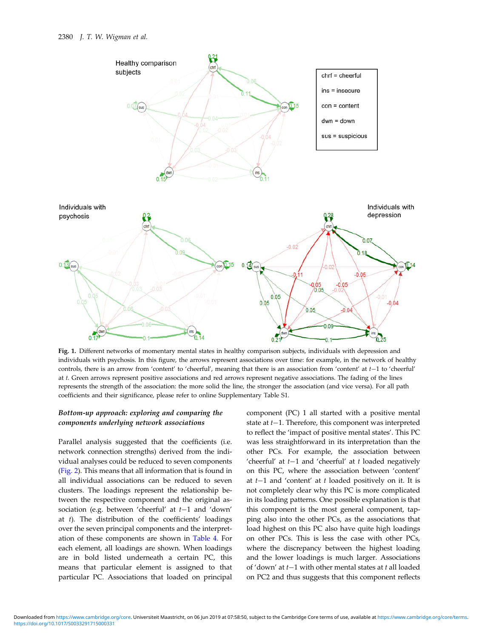<span id="page-6-0"></span>

Fig. 1. Different networks of momentary mental states in healthy comparison subjects, individuals with depression and individuals with psychosis. In this figure, the arrows represent associations over time: for example, in the network of healthy controls, there is an arrow from 'content' to 'cheerful', meaning that there is an association from 'content' at t−1 to 'cheerful' at t. Green arrows represent positive associations and red arrows represent negative associations. The fading of the lines represents the strength of the association: the more solid the line, the stronger the association (and vice versa). For all path coefficients and their significance, please refer to online Supplementary Table S1.

## Bottom-up approach: exploring and comparing the components underlying network associations

Parallel analysis suggested that the coefficients (i.e. network connection strengths) derived from the individual analyses could be reduced to seven components ([Fig. 2\)](#page-7-0). This means that all information that is found in all individual associations can be reduced to seven clusters. The loadings represent the relationship between the respective component and the original association (e.g. between 'cheerful' at t−1 and 'down' at t). The distribution of the coefficients' loadings over the seven principal components and the interpretation of these components are shown in [Table 4.](#page-8-0) For each element, all loadings are shown. When loadings are in bold listed underneath a certain PC, this means that particular element is assigned to that particular PC. Associations that loaded on principal

component (PC) 1 all started with a positive mental state at t−1. Therefore, this component was interpreted to reflect the 'impact of positive mental states'. This PC was less straightforward in its interpretation than the other PCs. For example, the association between 'cheerful' at t−1 and 'cheerful' at t loaded negatively on this PC, where the association between 'content' at t−1 and 'content' at t loaded positively on it. It is not completely clear why this PC is more complicated in its loading patterns. One possible explanation is that this component is the most general component, tapping also into the other PCs, as the associations that load highest on this PC also have quite high loadings on other PCs. This is less the case with other PCs, where the discrepancy between the highest loading and the lower loadings is much larger. Associations of 'down' at t−1 with other mental states at t all loaded on PC2 and thus suggests that this component reflects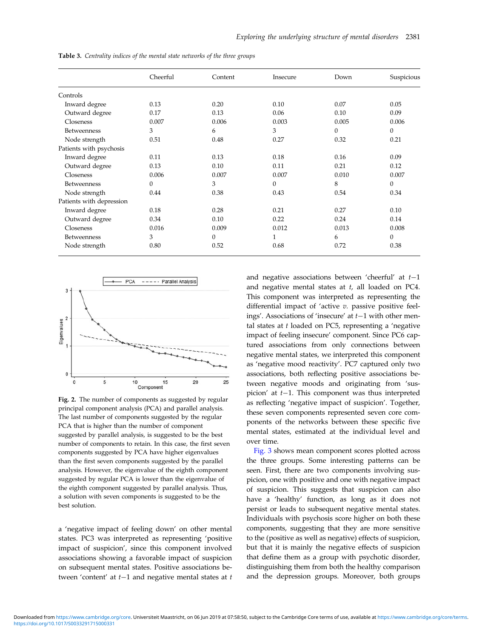|                          | Cheerful | Content          | Insecure     | Down     | Suspicious   |
|--------------------------|----------|------------------|--------------|----------|--------------|
| Controls                 |          |                  |              |          |              |
| Inward degree            | 0.13     | 0.20             | 0.10         | 0.07     | 0.05         |
| Outward degree           | 0.17     | 0.13             | 0.06         | 0.10     | 0.09         |
| Closeness                | 0.007    | 0.006            | 0.003        | 0.005    | 0.006        |
| <b>Betweenness</b>       | 3        | 6                | 3            | $\Omega$ | $\Omega$     |
| Node strength            | 0.51     | 0.48             | 0.27         | 0.32     | 0.21         |
| Patients with psychosis  |          |                  |              |          |              |
| Inward degree            | 0.11     | 0.13             | 0.18         | 0.16     | 0.09         |
| Outward degree           | 0.13     | 0.10             | 0.11         | 0.21     | 0.12         |
| Closeness                | 0.006    | 0.007            | 0.007        | 0.010    | 0.007        |
| <b>Betweenness</b>       | $\Omega$ | 3                | $\mathbf{0}$ | 8        | $\Omega$     |
| Node strength            | 0.44     | 0.38             | 0.43         | 0.54     | 0.34         |
| Patients with depression |          |                  |              |          |              |
| Inward degree            | 0.18     | 0.28             | 0.21         | 0.27     | 0.10         |
| Outward degree           | 0.34     | 0.10             | 0.22         | 0.24     | 0.14         |
| Closeness                | 0.016    | 0.009            | 0.012        | 0.013    | 0.008        |
| <b>Betweenness</b>       | 3        | $\boldsymbol{0}$ | 1            | 6        | $\mathbf{0}$ |
| Node strength            | 0.80     | 0.52             | 0.68         | 0.72     | 0.38         |

<span id="page-7-0"></span>Table 3. Centrality indices of the mental state networks of the three groups



Fig. 2. The number of components as suggested by regular principal component analysis (PCA) and parallel analysis. The last number of components suggested by the regular PCA that is higher than the number of component suggested by parallel analysis, is suggested to be the best number of components to retain. In this case, the first seven components suggested by PCA have higher eigenvalues than the first seven components suggested by the parallel analysis. However, the eigenvalue of the eighth component suggested by regular PCA is lower than the eigenvalue of the eighth component suggested by parallel analysis. Thus, a solution with seven components is suggested to be the best solution.

a 'negative impact of feeling down' on other mental states. PC3 was interpreted as representing 'positive impact of suspicion', since this component involved associations showing a favorable impact of suspicion on subsequent mental states. Positive associations between 'content' at t−1 and negative mental states at t and negative associations between 'cheerful' at t−1 and negative mental states at  $t$ , all loaded on PC4. This component was interpreted as representing the differential impact of 'active  $v$ . passive positive feelings'. Associations of 'insecure' at t−1 with other mental states at  $t$  loaded on PC5, representing a 'negative impact of feeling insecure' component. Since PC6 captured associations from only connections between negative mental states, we interpreted this component as 'negative mood reactivity'. PC7 captured only two associations, both reflecting positive associations between negative moods and originating from 'suspicion' at t−1. This component was thus interpreted as reflecting 'negative impact of suspicion'. Together, these seven components represented seven core components of the networks between these specific five mental states, estimated at the individual level and over time.

[Fig. 3](#page-9-0) shows mean component scores plotted across the three groups. Some interesting patterns can be seen. First, there are two components involving suspicion, one with positive and one with negative impact of suspicion. This suggests that suspicion can also have a 'healthy' function, as long as it does not persist or leads to subsequent negative mental states. Individuals with psychosis score higher on both these components, suggesting that they are more sensitive to the (positive as well as negative) effects of suspicion, but that it is mainly the negative effects of suspicion that define them as a group with psychotic disorder, distinguishing them from both the healthy comparison and the depression groups. Moreover, both groups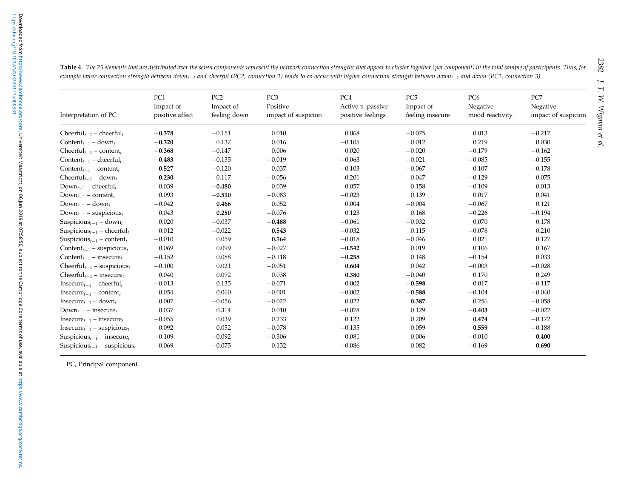|                                                                | PC1                          | PC <sub>2</sub>           | PC <sub>3</sub><br>Positive | PC <sub>4</sub>                        | PC <sub>5</sub>               | PC <sub>6</sub>             | PC7                             |
|----------------------------------------------------------------|------------------------------|---------------------------|-----------------------------|----------------------------------------|-------------------------------|-----------------------------|---------------------------------|
| Interpretation of PC                                           | Impact of<br>positive affect | Impact of<br>feeling down | impact of suspicion         | Active v. passive<br>positive feelings | Impact of<br>feeling insecure | Negative<br>mood reactivity | Negative<br>impact of suspicion |
|                                                                |                              |                           |                             |                                        |                               |                             |                                 |
| Cheerful <sub>t-1</sub> - cheerful <sub>t</sub>                | $-0.378$                     | $-0.151$                  | 0.010                       | 0.068                                  | $-0.075$                      | 0.013                       | $-0.217$                        |
| Content <sub>t-1</sub> – down <sub>t</sub>                     | $-0.320$                     | 0.137                     | 0.016                       | $-0.105$                               | 0.012                         | 0.219                       | 0.030                           |
| Cheerful <sub>t-1</sub> - content <sub>t</sub>                 | $-0.368$                     | $-0.147$                  | 0.006                       | 0.020                                  | $-0.020$                      | $-0.179$                    | $-0.162$                        |
| Content <sub>t-1</sub> - cheerful <sub>t</sub>                 | 0.483                        | $-0.135$                  | $-0.019$                    | $-0.063$                               | $-0.021$                      | $-0.085$                    | $-0.155$                        |
| Content <sub><math>t-1</math></sub> – content <sub>t</sub>     | 0.527                        | $-0.120$                  | 0.037                       | $-0.103$                               | $-0.067$                      | 0.107                       | $-0.178$                        |
| Cheerful <sub>t-1</sub> - down <sub>t</sub>                    | 0.230                        | 0.117                     | $-0.056$                    | 0.201                                  | 0.047                         | $-0.129$                    | 0.075                           |
| $Down_{t-1}$ – cheerful <sub>t</sub>                           | 0.039                        | $-0.480$                  | 0.039                       | 0.057                                  | 0.158                         | $-0.109$                    | 0.013                           |
| $Down_{t-1}$ – content <sub>t</sub>                            | 0.093                        | $-0.510$                  | $-0.083$                    | $-0.023$                               | 0.139                         | 0.017                       | 0.041                           |
| $Down_{t-1}$ – down <sub>t</sub>                               | $-0.042$                     | 0.466                     | 0.052                       | 0.004                                  | $-0.004$                      | $-0.067$                    | 0.121                           |
| $Down_{t-1}$ – suspicious <sub>t</sub>                         | 0.043                        | 0.250                     | $-0.076$                    | 0.123                                  | 0.168                         | $-0.226$                    | $-0.194$                        |
| Suspicious $_{t-1}$ – down $_t$                                | 0.020                        | $-0.037$                  | $-0.488$                    | $-0.061$                               | $-0.032$                      | 0.070                       | 0.178                           |
| Suspicious <sub><math>t-1</math></sub> – cheerful <sub>t</sub> | 0.012                        | $-0.022$                  | 0.543                       | $-0.032$                               | 0.115                         | $-0.078$                    | 0.210                           |
| Suspicious $_{t-1}$ – content $_t$                             | $-0.010$                     | 0.059                     | 0.564                       | $-0.018$                               | $-0.046$                      | 0.021                       | 0.127                           |
| Content <sub><math>t-1</math></sub> – suspicious <sub>t</sub>  | 0.069                        | 0.099                     | $-0.027$                    | $-0.542$                               | 0.019                         | 0.106                       | 0.167                           |
| Content <sub>t-1</sub> - insecure <sub>t</sub>                 | $-0.152$                     | 0.088                     | $-0.118$                    | $-0.258$                               | 0.148                         | $-0.154$                    | 0.033                           |
| Cheerful <sub>t-1</sub> - suspicious <sub>t</sub>              | $-0.100$                     | 0.021                     | $-0.051$                    | 0.604                                  | 0.042                         | $-0.003$                    | $-0.028$                        |
| Cheerful <sub>t-1</sub> - insecure <sub>t</sub>                | 0.040                        | 0.092                     | 0.038                       | 0.380                                  | $-0.040$                      | 0.170                       | 0.249                           |
| Insecure <sub><math>t-1</math></sub> – cheerful <sub>t</sub>   | $-0.013$                     | 0.135                     | $-0.071$                    | 0.002                                  | $-0.598$                      | 0.017                       | $-0.117$                        |
| Insecure <sub><math>t-1</math></sub> – content <sub>t</sub>    | 0.054                        | 0.060                     | $-0.001$                    | $-0.002$                               | $-0.588$                      | $-0.104$                    | $-0.040$                        |
| Insecure <sub><math>t-1</math></sub> – down <sub>t</sub>       | 0.007                        | $-0.056$                  | $-0.022$                    | 0.022                                  | 0.387                         | 0.256                       | $-0.058$                        |
| $Down_{t-1}$ – insecure <sub>t</sub>                           | 0.037                        | 0.314                     | 0.010                       | $-0.078$                               | 0.129                         | $-0.403$                    | $-0.022$                        |
| Insecure $_{t-1}$ – insecure                                   | $-0.055$                     | 0.039                     | 0.233                       | 0.122                                  | 0.209                         | 0.474                       | $-0.172$                        |
| Insecure $_{t-1}$ – suspicious $_t$                            | 0.092                        | 0.052                     | $-0.078$                    | $-0.135$                               | 0.059                         | 0.559                       | $-0.188$                        |
| Suspicious $_{t-1}$ – insecure,                                | $-0.109$                     | $-0.092$                  | $-0.306$                    | 0.081                                  | 0.006                         | $-0.010$                    | 0.400                           |
| Suspicious $_{t-1}$ – suspicious $_t$                          | $-0.069$                     | $-0.075$                  | 0.132                       | $-0.086$                               | 0.082                         | $-0.169$                    | 0.690                           |

<span id="page-8-0"></span>Table 4. The <sup>25</sup> elements that are distributed over the seven components represen<sup>t</sup> the network connection strengths that appear to cluster together (per component) in the total sample of participants. Thus, for example lower connection strength between down<sub>t-1</sub> and cheerful (PC2, connection 1) tends to co-occur with higher connection strength between down<sub>t-1</sub> and down (PC2, connection 3)

PC, Principal component.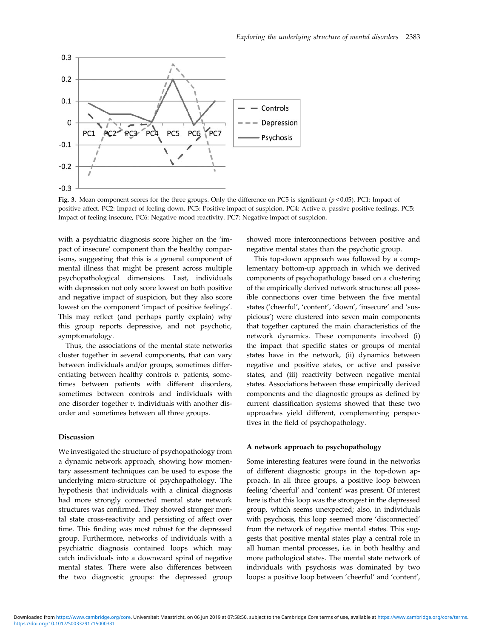<span id="page-9-0"></span>

Fig. 3. Mean component scores for the three groups. Only the difference on PC5 is significant ( $p$  < 0.05). PC1: Impact of positive affect. PC2: Impact of feeling down. PC3: Positive impact of suspicion. PC4: Active v. passive positive feelings. PC5: Impact of feeling insecure, PC6: Negative mood reactivity. PC7: Negative impact of suspicion.

with a psychiatric diagnosis score higher on the 'impact of insecure' component than the healthy comparisons, suggesting that this is a general component of mental illness that might be present across multiple psychopathological dimensions. Last, individuals with depression not only score lowest on both positive and negative impact of suspicion, but they also score lowest on the component 'impact of positive feelings'. This may reflect (and perhaps partly explain) why this group reports depressive, and not psychotic, symptomatology.

Thus, the associations of the mental state networks cluster together in several components, that can vary between individuals and/or groups, sometimes differentiating between healthy controls  $v$ . patients, sometimes between patients with different disorders, sometimes between controls and individuals with one disorder together v. individuals with another disorder and sometimes between all three groups.

#### Discussion

We investigated the structure of psychopathology from a dynamic network approach, showing how momentary assessment techniques can be used to expose the underlying micro-structure of psychopathology. The hypothesis that individuals with a clinical diagnosis had more strongly connected mental state network structures was confirmed. They showed stronger mental state cross-reactivity and persisting of affect over time. This finding was most robust for the depressed group. Furthermore, networks of individuals with a psychiatric diagnosis contained loops which may catch individuals into a downward spiral of negative mental states. There were also differences between the two diagnostic groups: the depressed group

showed more interconnections between positive and negative mental states than the psychotic group.

This top-down approach was followed by a complementary bottom-up approach in which we derived components of psychopathology based on a clustering of the empirically derived network structures: all possible connections over time between the five mental states ('cheerful', 'content', 'down', 'insecure' and 'suspicious') were clustered into seven main components that together captured the main characteristics of the network dynamics. These components involved (i) the impact that specific states or groups of mental states have in the network, (ii) dynamics between negative and positive states, or active and passive states, and (iii) reactivity between negative mental states. Associations between these empirically derived components and the diagnostic groups as defined by current classification systems showed that these two approaches yield different, complementing perspectives in the field of psychopathology.

#### A network approach to psychopathology

Some interesting features were found in the networks of different diagnostic groups in the top-down approach. In all three groups, a positive loop between feeling 'cheerful' and 'content' was present. Of interest here is that this loop was the strongest in the depressed group, which seems unexpected; also, in individuals with psychosis, this loop seemed more 'disconnected' from the network of negative mental states. This suggests that positive mental states play a central role in all human mental processes, i.e. in both healthy and more pathological states. The mental state network of individuals with psychosis was dominated by two loops: a positive loop between 'cheerful' and 'content',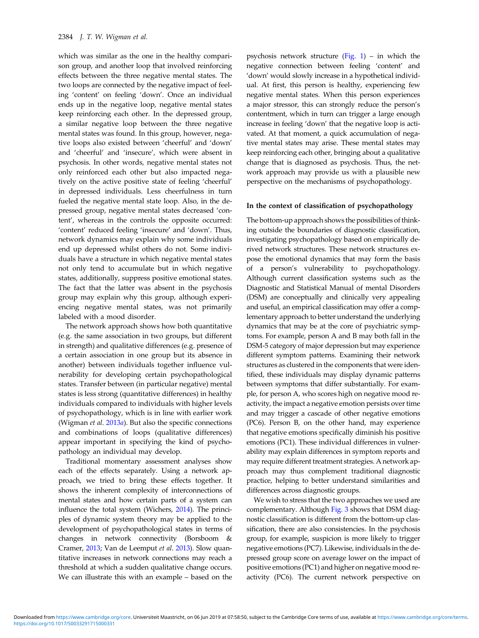which was similar as the one in the healthy comparison group, and another loop that involved reinforcing effects between the three negative mental states. The two loops are connected by the negative impact of feeling 'content' on feeling 'down'. Once an individual ends up in the negative loop, negative mental states keep reinforcing each other. In the depressed group, a similar negative loop between the three negative mental states was found. In this group, however, negative loops also existed between 'cheerful' and 'down' and 'cheerful' and 'insecure', which were absent in psychosis. In other words, negative mental states not only reinforced each other but also impacted negatively on the active positive state of feeling 'cheerful' in depressed individuals. Less cheerfulness in turn fueled the negative mental state loop. Also, in the depressed group, negative mental states decreased 'content', whereas in the controls the opposite occurred: 'content' reduced feeling 'insecure' and 'down'. Thus, network dynamics may explain why some individuals end up depressed whilst others do not. Some individuals have a structure in which negative mental states not only tend to accumulate but in which negative states, additionally, suppress positive emotional states. The fact that the latter was absent in the psychosis group may explain why this group, although experiencing negative mental states, was not primarily labeled with a mood disorder.

The network approach shows how both quantitative (e.g. the same association in two groups, but different in strength) and qualitative differences (e.g. presence of a certain association in one group but its absence in another) between individuals together influence vulnerability for developing certain psychopathological states. Transfer between (in particular negative) mental states is less strong (quantitative differences) in healthy individuals compared to individuals with higher levels of psychopathology, which is in line with earlier work (Wigman et al. [2013](#page-13-0)a). But also the specific connections and combinations of loops (qualitative differences) appear important in specifying the kind of psychopathology an individual may develop.

Traditional momentary assessment analyses show each of the effects separately. Using a network approach, we tried to bring these effects together. It shows the inherent complexity of interconnections of mental states and how certain parts of a system can influence the total system (Wichers, [2014](#page-13-0)). The principles of dynamic system theory may be applied to the development of psychopathological states in terms of changes in network connectivity (Borsboom & Cramer, [2013;](#page-12-0) Van de Leemput et al. [2013](#page-13-0)). Slow quantitative increases in network connections may reach a threshold at which a sudden qualitative change occurs. We can illustrate this with an example – based on the psychosis network structure  $(Fig. 1) - in$  $(Fig. 1) - in$  which the negative connection between feeling 'content' and 'down' would slowly increase in a hypothetical individual. At first, this person is healthy, experiencing few negative mental states. When this person experiences a major stressor, this can strongly reduce the person's contentment, which in turn can trigger a large enough increase in feeling 'down' that the negative loop is activated. At that moment, a quick accumulation of negative mental states may arise. These mental states may keep reinforcing each other, bringing about a qualitative change that is diagnosed as psychosis. Thus, the network approach may provide us with a plausible new perspective on the mechanisms of psychopathology.

#### In the context of classification of psychopathology

The bottom-up approach shows the possibilities of thinking outside the boundaries of diagnostic classification, investigating psychopathology based on empirically derived network structures. These network structures expose the emotional dynamics that may form the basis of a person's vulnerability to psychopathology. Although current classification systems such as the Diagnostic and Statistical Manual of mental Disorders (DSM) are conceptually and clinically very appealing and useful, an empirical classification may offer a complementary approach to better understand the underlying dynamics that may be at the core of psychiatric symptoms. For example, person A and B may both fall in the DSM-5 category of major depression but may experience different symptom patterns. Examining their network structures as clustered in the components that were identified, these individuals may display dynamic patterns between symptoms that differ substantially. For example, for person A, who scores high on negative mood reactivity, the impact a negative emotion persists over time and may trigger a cascade of other negative emotions (PC6). Person B, on the other hand, may experience that negative emotions specifically diminish his positive emotions (PC1). These individual differences in vulnerability may explain differences in symptom reports and may require different treatment strategies. A network approach may thus complement traditional diagnostic practice, helping to better understand similarities and differences across diagnostic groups.

We wish to stress that the two approaches we used are complementary. Although [Fig. 3](#page-9-0) shows that DSM diagnostic classification is different from the bottom-up classification, there are also consistencies. In the psychosis group, for example, suspicion is more likely to trigger negative emotions (PC7). Likewise, individuals in the depressed group score on average lower on the impact of positive emotions (PC1) and higher on negative mood reactivity (PC6). The current network perspective on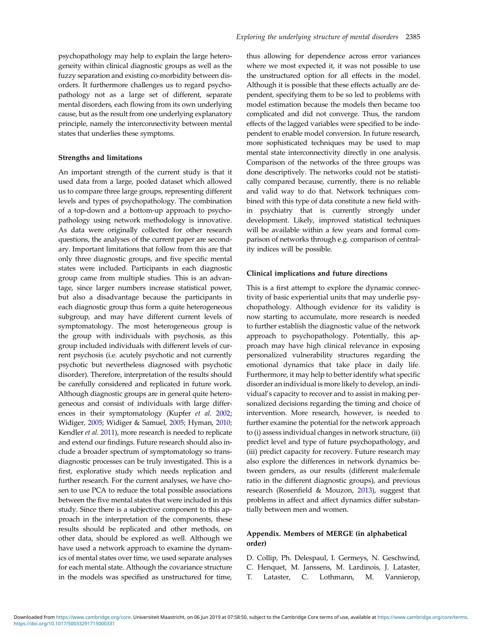psychopathology may help to explain the large heterogeneity within clinical diagnostic groups as well as the fuzzy separation and existing co-morbidity between disorders. It furthermore challenges us to regard psychopathology not as a large set of different, separate mental disorders, each flowing from its own underlying cause, but as the result from one underlying explanatory principle, namely the interconnectivity between mental states that underlies these symptoms.

## Strengths and limitations

An important strength of the current study is that it used data from a large, pooled dataset which allowed us to compare three large groups, representing different levels and types of psychopathology. The combination of a top-down and a bottom-up approach to psychopathology using network methodology is innovative. As data were originally collected for other research questions, the analyses of the current paper are secondary. Important limitations that follow from this are that only three diagnostic groups, and five specific mental states were included. Participants in each diagnostic group came from multiple studies. This is an advantage, since larger numbers increase statistical power, but also a disadvantage because the participants in each diagnostic group thus form a quite heterogeneous subgroup, and may have different current levels of symptomatology. The most heterogeneous group is the group with individuals with psychosis, as this group included individuals with different levels of current psychosis (i.e. acutely psychotic and not currently psychotic but nevertheless diagnosed with psychotic disorder). Therefore, interpretation of the results should be carefully considered and replicated in future work. Although diagnostic groups are in general quite heterogeneous and consist of individuals with large differences in their symptomatology (Kupfer et al. [2002](#page-13-0); Widiger, [2005](#page-13-0); Widiger & Samuel, [2005;](#page-13-0) Hyman, [2010](#page-12-0); Kendler et al. [2011\)](#page-12-0), more research is needed to replicate and extend our findings. Future research should also include a broader spectrum of symptomatology so transdiagnostic processes can be truly investigated. This is a first, explorative study which needs replication and further research. For the current analyses, we have chosen to use PCA to reduce the total possible associations between the five mental states that were included in this study. Since there is a subjective component to this approach in the interpretation of the components, these results should be replicated and other methods, on other data, should be explored as well. Although we have used a network approach to examine the dynamics of mental states over time, we used separate analyses for each mental state. Although the covariance structure in the models was specified as unstructured for time,

thus allowing for dependence across error variances where we most expected it, it was not possible to use the unstructured option for all effects in the model. Although it is possible that these effects actually are dependent, specifying them to be so led to problems with model estimation because the models then became too complicated and did not converge. Thus, the random effects of the lagged variables were specified to be independent to enable model conversion. In future research, more sophisticated techniques may be used to map mental state interconnectivity directly in one analysis. Comparison of the networks of the three groups was done descriptively. The networks could not be statistically compared because, currently, there is no reliable and valid way to do that. Network techniques combined with this type of data constitute a new field within psychiatry that is currently strongly under development. Likely, improved statistical techniques will be available within a few years and formal comparison of networks through e.g. comparison of centrality indices will be possible.

#### Clinical implications and future directions

This is a first attempt to explore the dynamic connectivity of basic experiential units that may underlie psychopathology. Although evidence for its validity is now starting to accumulate, more research is needed to further establish the diagnostic value of the network approach to psychopathology. Potentially, this approach may have high clinical relevance in exposing personalized vulnerability structures regarding the emotional dynamics that take place in daily life. Furthermore, it may help to better identify what specific disorder an individual is more likely to develop, an individual's capacity to recover and to assist in making personalized decisions regarding the timing and choice of intervention. More research, however, is needed to further examine the potential for the network approach to (i) assess individual changes in network structure, (ii) predict level and type of future psychopathology, and (iii) predict capacity for recovery. Future research may also explore the differences in network dynamics between genders, as our results (different male:female ratio in the different diagnostic groups), and previous research (Rosenfield & Mouzon, [2013\)](#page-13-0), suggest that problems in affect and affect dynamics differ substantially between men and women.

## Appendix. Members of MERGE (in alphabetical order)

- D. Collip, Ph. Delespaul, I. Germeys, N. Geschwind,
- C. Henquet, M. Janssens, M. Lardinois, J. Lataster,
- T. Lataster, C. Lothmann, M. Vannierop,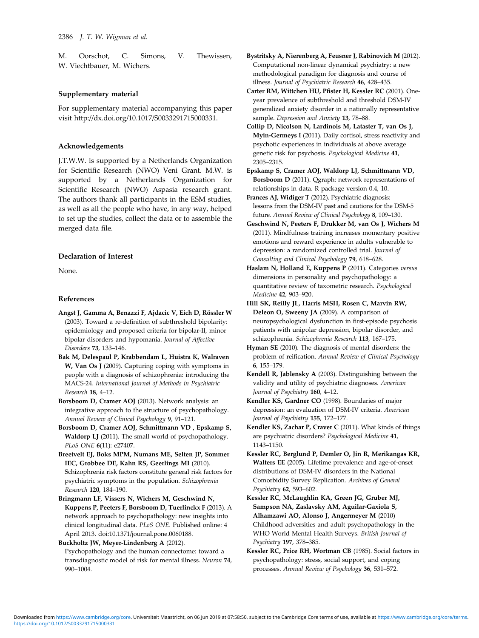<span id="page-12-0"></span>M. Oorschot, C. Simons, V. Thewissen, W. Viechtbauer, M. Wichers.

## Supplementary material

For supplementary material accompanying this paper visit http://dx.doi.org/10.1017/S0033291715000331.

#### Acknowledgements

J.T.W.W. is supported by a Netherlands Organization for Scientific Research (NWO) Veni Grant. M.W. is supported by a Netherlands Organization for Scientific Research (NWO) Aspasia research grant. The authors thank all participants in the ESM studies, as well as all the people who have, in any way, helped to set up the studies, collect the data or to assemble the merged data file.

## Declaration of Interest

None.

#### References

- Angst J, Gamma A, Benazzi F, Ajdacic V, Eich D, Rössler W (2003). Toward a re-definition of subthreshold bipolarity: epidemiology and proposed criteria for bipolar-II, minor bipolar disorders and hypomania. Journal of Affective Disorders 73, 133–146.
- Bak M, Delespaul P, Krabbendam L, Huistra K, Walraven W, Van Os J (2009). Capturing coping with symptoms in people with a diagnosis of schizophrenia: introducing the MACS‐24. International Journal of Methods in Psychiatric Research 18, 4–12.
- Borsboom D, Cramer AOJ (2013). Network analysis: an integrative approach to the structure of psychopathology. Annual Review of Clinical Psychology 9, 91–121.
- Borsboom D, Cramer AOJ, Schmittmann VD , Epskamp S, Waldorp LJ (2011). The small world of psychopathology. PLoS ONE 6(11): e27407.
- Breetvelt EJ, Boks MPM, Numans ME, Selten JP, Sommer IEC, Grobbee DE, Kahn RS, Geerlings MI (2010). Schizophrenia risk factors constitute general risk factors for psychiatric symptoms in the population. Schizophrenia Research 120, 184–190.
- Bringmann LF, Vissers N, Wichers M, Geschwind N, Kuppens P, Peeters F, Borsboom D, Tuerlinckx F (2013). A network approach to psychopathology: new insights into clinical longitudinal data. PLoS ONE. Published online: 4 April 2013. doi:10.1371/journal.pone.0060188.
- Buckholtz JW, Meyer-Lindenberg A (2012). Psychopathology and the human connectome: toward a transdiagnostic model of risk for mental illness. Neuron 74, 990–1004.
- Bystritsky A, Nierenberg A, Feusner J, Rabinovich M (2012). Computational non-linear dynamical psychiatry: a new methodological paradigm for diagnosis and course of illness. Journal of Psychiatric Research 46, 428–435.
- Carter RM, Wittchen HU, Pfister H, Kessler RC (2001). One‐ year prevalence of subthreshold and threshold DSM‐IV generalized anxiety disorder in a nationally representative sample. Depression and Anxiety 13, 78-88.
- Collip D, Nicolson N, Lardinois M, Lataster T, van Os J, Myin-Germeys I (2011). Daily cortisol, stress reactivity and psychotic experiences in individuals at above average genetic risk for psychosis. Psychological Medicine 41, 2305–2315.
- Epskamp S, Cramer AOJ, Waldorp LJ, Schmittmann VD, Borsboom D (2011). Qgraph: network representations of relationships in data. R package version 0.4, 10.
- Frances AJ, Widiger T (2012). Psychiatric diagnosis: lessons from the DSM-IV past and cautions for the DSM-5 future. Annual Review of Clinical Psychology 8, 109–130.
- Geschwind N, Peeters F, Drukker M, van Os J, Wichers M (2011). Mindfulness training increases momentary positive emotions and reward experience in adults vulnerable to depression: a randomized controlled trial. Journal of Consulting and Clinical Psychology 79, 618–628.
- Haslam N, Holland E, Kuppens P (2011). Categories versus dimensions in personality and psychopathology: a quantitative review of taxometric research. Psychological Medicine 42, 903–920.
- Hill SK, Reilly JL, Harris MSH, Rosen C, Marvin RW, Deleon O, Sweeny JA (2009). A comparison of neuropsychological dysfunction in first-episode psychosis patients with unipolar depression, bipolar disorder, and schizophrenia. Schizophrenia Research 113, 167–175.
- Hyman SE (2010). The diagnosis of mental disorders: the problem of reification. Annual Review of Clinical Psychology 6, 155–179.
- Kendell R, Jablensky A (2003). Distinguishing between the validity and utility of psychiatric diagnoses. American Journal of Psychiatry 160, 4–12.
- Kendler KS, Gardner CO (1998). Boundaries of major depression: an evaluation of DSM-IV criteria. American Journal of Psychiatry 155, 172–177.
- Kendler KS, Zachar P, Craver C (2011). What kinds of things are psychiatric disorders? Psychological Medicine 41, 1143–1150.
- Kessler RC, Berglund P, Demler O, Jin R, Merikangas KR, Walters EE (2005). Lifetime prevalence and age-of-onset distributions of DSM-IV disorders in the National Comorbidity Survey Replication. Archives of General Psychiatry 62, 593–602.
- Kessler RC, McLaughlin KA, Green JG, Gruber MJ, Sampson NA, Zaslavsky AM, Aguilar-Gaxiola S, Alhamzawi AO, Alonso J, Angermeyer M (2010) Childhood adversities and adult psychopathology in the WHO World Mental Health Surveys. British Journal of Psychiatry 197, 378–385.
- Kessler RC, Price RH, Wortman CB (1985). Social factors in psychopathology: stress, social support, and coping processes. Annual Review of Psychology 36, 531–572.